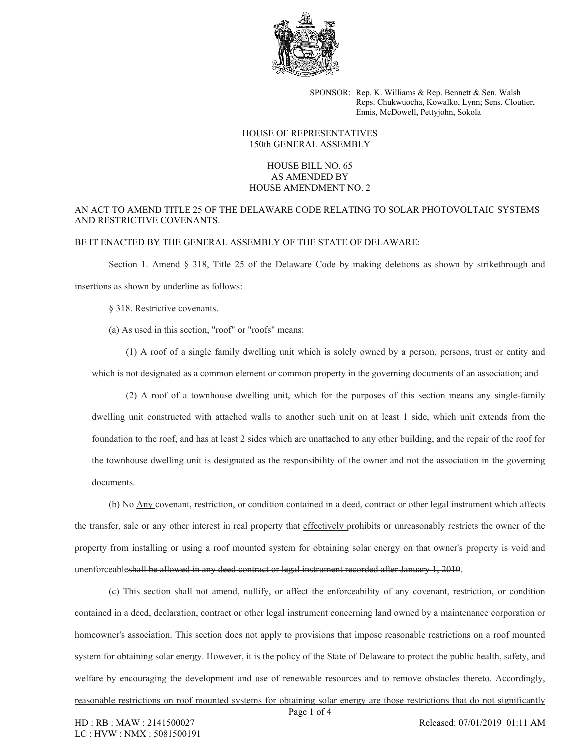

SPONSOR: Rep. K. Williams & Rep. Bennett & Sen. Walsh Reps. Chukwuocha, Kowalko, Lynn; Sens. Cloutier, Ennis, McDowell, Pettyjohn, Sokola

## HOUSE OF REPRESENTATIVES 150th GENERAL ASSEMBLY

## HOUSE BILL NO. 65 AS AMENDED BY HOUSE AMENDMENT NO. 2

## AN ACT TO AMEND TITLE 25 OF THE DELAWARE CODE RELATING TO SOLAR PHOTOVOLTAIC SYSTEMS AND RESTRICTIVE COVENANTS.

## BE IT ENACTED BY THE GENERAL ASSEMBLY OF THE STATE OF DELAWARE:

Section 1. Amend § 318, Title 25 of the Delaware Code by making deletions as shown by strikethrough and insertions as shown by underline as follows:

§ 318. Restrictive covenants.

(a) As used in this section, "roof" or "roofs" means:

(1) A roof of a single family dwelling unit which is solely owned by a person, persons, trust or entity and which is not designated as a common element or common property in the governing documents of an association; and

(2) A roof of a townhouse dwelling unit, which for the purposes of this section means any single-family dwelling unit constructed with attached walls to another such unit on at least 1 side, which unit extends from the foundation to the roof, and has at least 2 sides which are unattached to any other building, and the repair of the roof for the townhouse dwelling unit is designated as the responsibility of the owner and not the association in the governing documents.

(b) No Any covenant, restriction, or condition contained in a deed, contract or other legal instrument which affects the transfer, sale or any other interest in real property that effectively prohibits or unreasonably restricts the owner of the property from installing or using a roof mounted system for obtaining solar energy on that owner's property is void and unenforceableshall be allowed in any deed contract or legal instrument recorded after January 1, 2010.

(c) This section shall not amend, nullify, or affect the enforceability of any covenant, restriction, or condition contained in a deed, declaration, contract or other legal instrument concerning land owned by a maintenance corporation or homeowner's association. This section does not apply to provisions that impose reasonable restrictions on a roof mounted system for obtaining solar energy. However, it is the policy of the State of Delaware to protect the public health, safety, and welfare by encouraging the development and use of renewable resources and to remove obstacles thereto. Accordingly, reasonable restrictions on roof mounted systems for obtaining solar energy are those restrictions that do not significantly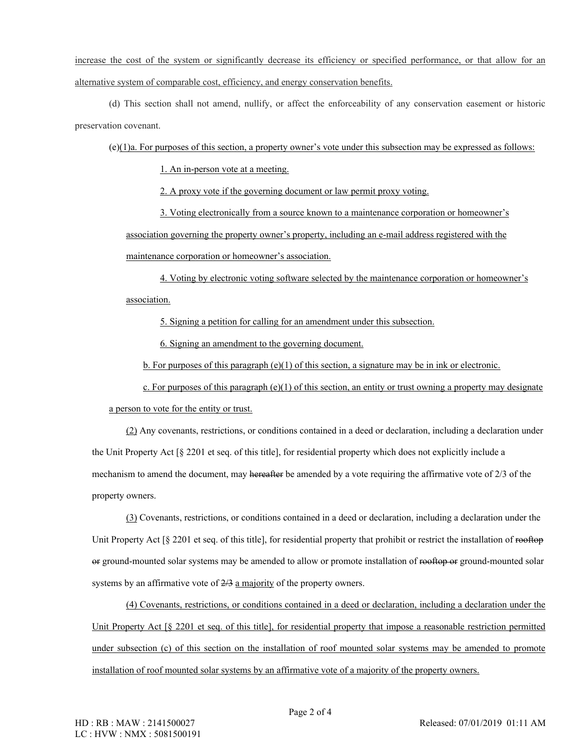increase the cost of the system or significantly decrease its efficiency or specified performance, or that allow for an alternative system of comparable cost, efficiency, and energy conservation benefits.

(d) This section shall not amend, nullify, or affect the enforceability of any conservation easement or historic preservation covenant.

(e)(1)a. For purposes of this section, a property owner's vote under this subsection may be expressed as follows:

1. An in-person vote at a meeting.

2. A proxy vote if the governing document or law permit proxy voting.

3. Voting electronically from a source known to a maintenance corporation or homeowner's association governing the property owner's property, including an e-mail address registered with the maintenance corporation or homeowner's association.

4. Voting by electronic voting software selected by the maintenance corporation or homeowner's association.

5. Signing a petition for calling for an amendment under this subsection.

6. Signing an amendment to the governing document.

b. For purposes of this paragraph (e)(1) of this section, a signature may be in ink or electronic.

c. For purposes of this paragraph  $(e)(1)$  of this section, an entity or trust owning a property may designate

a person to vote for the entity or trust.

(2) Any covenants, restrictions, or conditions contained in a deed or declaration, including a declaration under the Unit Property Act [§ 2201 et seq. of this title], for residential property which does not explicitly include a mechanism to amend the document, may hereafter be amended by a vote requiring the affirmative vote of 2/3 of the property owners.

(3) Covenants, restrictions, or conditions contained in a deed or declaration, including a declaration under the Unit Property Act [§ 2201 et seq. of this title], for residential property that prohibit or restrict the installation of rooftop or ground-mounted solar systems may be amended to allow or promote installation of rooftop or ground-mounted solar systems by an affirmative vote of  $2/3$  a majority of the property owners.

(4) Covenants, restrictions, or conditions contained in a deed or declaration, including a declaration under the Unit Property Act  $\lceil \xi \rceil$  2201 et seq. of this title], for residential property that impose a reasonable restriction permitted under subsection (c) of this section on the installation of roof mounted solar systems may be amended to promote installation of roof mounted solar systems by an affirmative vote of a majority of the property owners.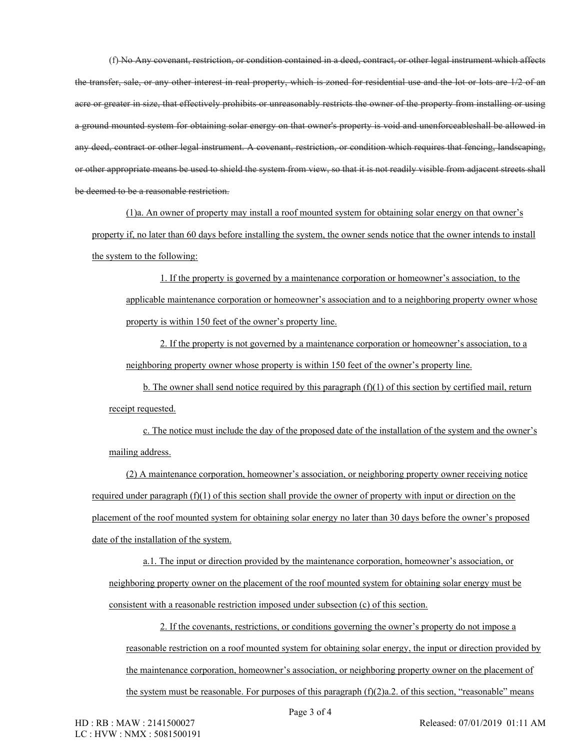(f) No Any covenant, restriction, or condition contained in a deed, contract, or other legal instrument which affects the transfer, sale, or any other interest in real property, which is zoned for residential use and the lot or lots are 1/2 of an acre or greater in size, that effectively prohibits or unreasonably restricts the owner of the property from installing or using a ground mounted system for obtaining solar energy on that owner's property is void and unenforceableshall be allowed in any deed, contract or other legal instrument. A covenant, restriction, or condition which requires that fencing, landscaping, or other appropriate means be used to shield the system from view, so that it is not readily visible from adjacent streets shall be deemed to be a reasonable restriction.

(1)a. An owner of property may install a roof mounted system for obtaining solar energy on that owner's property if, no later than 60 days before installing the system, the owner sends notice that the owner intends to install the system to the following:

1. If the property is governed by a maintenance corporation or homeowner's association, to the applicable maintenance corporation or homeowner's association and to a neighboring property owner whose property is within 150 feet of the owner's property line.

2. If the property is not governed by a maintenance corporation or homeowner's association, to a neighboring property owner whose property is within 150 feet of the owner's property line.

b. The owner shall send notice required by this paragraph  $(f)(1)$  of this section by certified mail, return receipt requested.

c. The notice must include the day of the proposed date of the installation of the system and the owner's mailing address.

(2) A maintenance corporation, homeowner's association, or neighboring property owner receiving notice required under paragraph (f)(1) of this section shall provide the owner of property with input or direction on the placement of the roof mounted system for obtaining solar energy no later than 30 days before the owner's proposed date of the installation of the system.

a.1. The input or direction provided by the maintenance corporation, homeowner's association, or neighboring property owner on the placement of the roof mounted system for obtaining solar energy must be consistent with a reasonable restriction imposed under subsection (c) of this section.

2. If the covenants, restrictions, or conditions governing the owner's property do not impose a reasonable restriction on a roof mounted system for obtaining solar energy, the input or direction provided by the maintenance corporation, homeowner's association, or neighboring property owner on the placement of the system must be reasonable. For purposes of this paragraph  $(f)(2)a.2$ . of this section, "reasonable" means